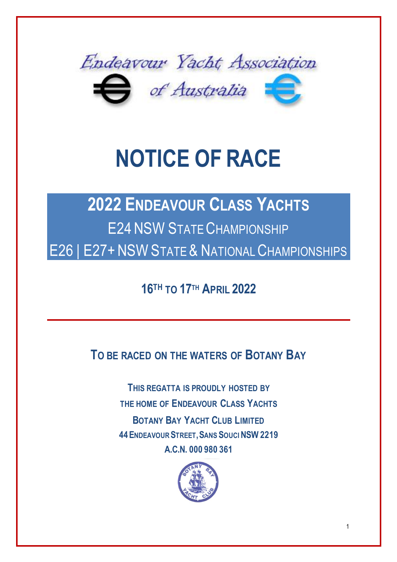

# **NOTICE OF RACE**

## **2022 ENDEAVOUR CLASS YACHTS** E24NSW STATE CHAMPIONSHIP E26 | E27+ NSW STATE & NATIONAL CHAMPIONSHIPS

**16 TH TO 17 TH APRIL 2022**

**TO BE RACED ON THE WATERS OF BOTANY BAY**

**THIS REGATTA IS PROUDLY HOSTED BY THE HOME OF ENDEAVOUR CLASS YACHTS BOTANY BAY YACHT CLUB LIMITED 44ENDEAVOUR STREET,SANS SOUCI NSW 2219 A.C.N. 000 980 361**

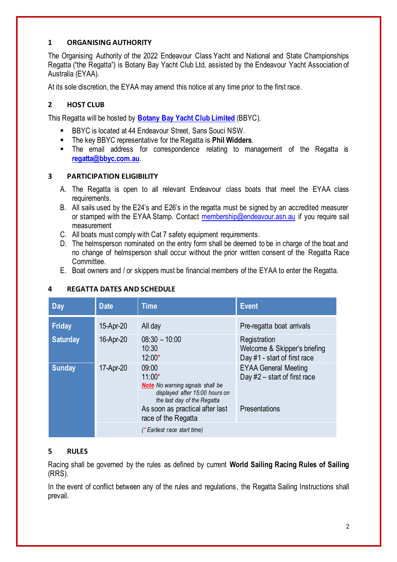#### **1 ORGANISING AUTHORITY**

The Organising Authority of the 2022 Endeavour Class Yacht and National and State Championships Regatta ("the Regatta") is Botany Bay Yacht Club Ltd, assisted by the Endeavour Yacht Association of Australia (EYAA).

At its sole discretion, the EYAA may amend this notice at any time prior to the first race.

#### **2 HOST CLUB**

This Regatta will be hosted by **Botany Bay Yacht Club Limited** (BBYC).

- BBYC is located at 44 Endeavour Street, Sans Souci NSW.
- The key BBYC representative for the Regatta is **Phil Widders**.
- The email address for correspondence relating to management of the Regatta is **regatta@bbyc.com.au**.

#### **3 PARTICIPATION ELIGIBILITY**

- A. The Regatta is open to all relevant Endeavour class boats that meet the EYAA class requirements.
- B. All sails used by the E24's and E26's in the regatta must be signed by an accredited measurer or stamped with the EYAA Stamp. Contact membership@endeavour.asn.au if you require sail measurement
- C. All boats must comply with Cat 7 safety equipment requirements.
- D. The helmsperson nominated on the entry form shall be deemed to be in charge of the boat and no change of helmsperson shall occur without the prior written consent of the Regatta Race Committee.
- E. Boat owners and / or skippers must be financial members of the EYAA to enter the Regatta.

| Day             | <b>Date</b> | <b>Time</b>                                                                                                                                                                             | <b>Event</b>                                                                   |
|-----------------|-------------|-----------------------------------------------------------------------------------------------------------------------------------------------------------------------------------------|--------------------------------------------------------------------------------|
| <b>Friday</b>   | 15-Apr-20   | All day                                                                                                                                                                                 | Pre-regatta boat arrivals                                                      |
| <b>Saturday</b> | 16-Apr-20   | $08:30 - 10:00$<br>10:30<br>$12:00*$                                                                                                                                                    | Registration<br>Welcome & Skipper's briefing<br>Day #1 - start of first race   |
| <b>Sunday</b>   | 17-Apr-20   | 09:00<br>$11:00*$<br><b>Note</b> No warning signals shall be<br>displayed after 15:00 hours on<br>the last day of the Regatta<br>As soon as practical after last<br>race of the Regatta | <b>EYAA General Meeting</b><br>Day $#2$ – start of first race<br>Presentations |
|                 |             | (* Earliest race start time)                                                                                                                                                            |                                                                                |

#### **4 REGATTA DATES AND SCHEDULE**

#### **5 RULES**

Racing shall be governed by the rules as defined by current **World Sailing Racing Rules of Sailing** (RRS).

In the event of conflict between any of the rules and regulations, the Regatta Sailing Instructions shall prevail.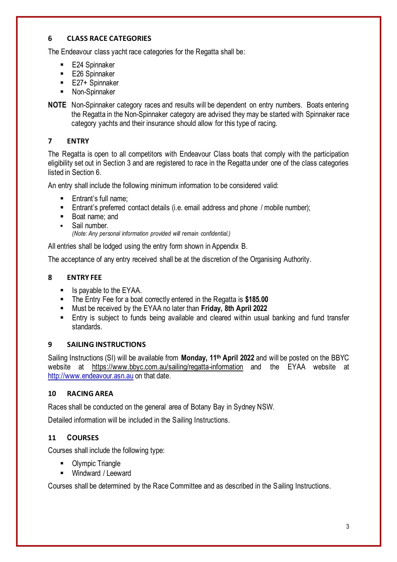#### **6 CLASS RACE CATEGORIES**

The Endeavour class yacht race categories for the Regatta shall be:

- E24 Spinnaker
- E26 Spinnaker
- E27+ Spinnaker
- Non-Spinnaker
- **NOTE** Non-Spinnaker category races and results will be dependent on entry numbers. Boats entering the Regatta in the Non-Spinnaker category are advised they may be started with Spinnaker race category yachts and their insurance should allow for this type of racing.

#### **7 ENTRY**

The Regatta is open to all competitors with Endeavour Class boats that comply with the participation eligibility set out in Section 3 and are registered to race in the Regatta under one of the class categories listed in Section 6.

An entry shall include the following minimum information to be considered valid:

- Entrant's full name:
- Entrant's preferred contact details (i.e. email address and phone / mobile number);
- Boat name: and
- Sail number

*(Note: Any personal information provided will remain confidential.)*

All entries shall be lodged using the entry form shown in Appendix B.

The acceptance of any entry received shall be at the discretion of the Organising Authority.

#### **8 ENTRY FEE**

- Is payable to the EYAA.
- The Entry Fee for a boat correctly entered in the Regatta is **\$185.00**
- Must be received by the EYAA no later than **Friday, 8th April 2022**
- Entry is subject to funds being available and cleared within usual banking and fund transfer standards.

#### **9 SAILING INSTRUCTIONS**

Sailing Instructions (SI) will be available from **Monday, 11th April 2022** and will be posted on the BBYC website at https://www.bbyc.com.au/sailing/regatta-information and the EYAA website at http://www.endeavour.asn.au on that date.

#### **10 RACING AREA**

Races shall be conducted on the general area of Botany Bay in Sydney NSW.

Detailed information will be included in the Sailing Instructions.

#### **11 COURSES**

Courses shall include the following type:

- Olympic Triangle
- Windward / Leeward

Courses shall be determined by the Race Committee and as described in the Sailing Instructions.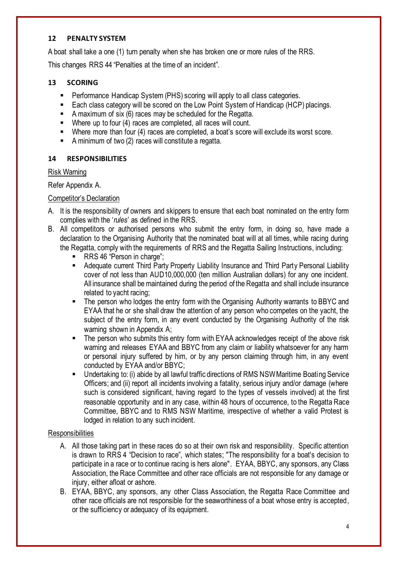#### **12 PENALTY SYSTEM**

A boat shall take a one (1) turn penalty when she has broken one or more rules of the RRS.

This changes RRS 44 "Penalties at the time of an incident".

#### **13 SCORING**

- Performance Handicap System (PHS) scoring will apply to all class categories.
- Each class category will be scored on the Low Point System of Handicap (HCP) placings.
- A maximum of six (6) races may be scheduled for the Regatta.
- Where up to four (4) races are completed, all races will count.
- Where more than four (4) races are completed, a boat's score will exclude its worst score.
- A minimum of two (2) races will constitute a regatta.

#### **14 RESPONSIBILITIES**

#### Risk Warning

#### Refer Appendix A.

#### Competitor's Declaration

- A. It is the responsibility of owners and skippers to ensure that each boat nominated on the entry form complies with the '*rules*' as defined in the RRS.
- B. All competitors or authorised persons who submit the entry form, in doing so, have made a declaration to the Organising Authority that the nominated boat will at all times, while racing during the Regatta, comply with the requirements of RRS and the Regatta Sailing Instructions, including:
	- RRS 46 "Person in charge";
	- Adequate current Third Party Property Liability Insurance and Third Party Personal Liability cover of not less than AUD10,000,000 (ten million Australian dollars) for any one incident. All insurance shall be maintained during the period of the Regatta and shall include insurance related to yacht racing;
	- The person who lodges the entry form with the Organising Authority warrants to BBYC and EYAA that he or she shall draw the attention of any person who competes on the yacht, the subject of the entry form, in any event conducted by the Organising Authority of the risk warning shown in Appendix A;
	- The person who submits this entry form with EYAA acknowledges receipt of the above risk warning and releases EYAA and BBYC from any claim or liability whatsoever for any harm or personal injury suffered by him, or by any person claiming through him, in any event conducted by EYAA and/or BBYC;
	- Undertaking to: (i) abide by all lawful traffic directions of RMS NSW Maritime Boating Service Officers; and (ii) report all incidents involving a fatality, serious injury and/or damage (where such is considered significant, having regard to the types of vessels involved) at the first reasonable opportunity and in any case, within 48 hours of occurrence, to the Regatta Race Committee, BBYC and to RMS NSW Maritime, irrespective of whether a valid Protest is lodged in relation to any such incident.

#### **Responsibilities**

- A. All those taking part in these races do so at their own risk and responsibility. Specific attention is drawn to RRS 4 "Decision to race", which states; "The responsibility for a boat's decision to participate in a race or to continue racing is hers alone". EYAA, BBYC, any sponsors, any Class Association, the Race Committee and other race officials are not responsible for any damage or injury, either afloat or ashore.
- B. EYAA, BBYC, any sponsors, any other Class Association, the Regatta Race Committee and other race officials are not responsible for the seaworthiness of a boat whose entry is accepted, or the sufficiency or adequacy of its equipment.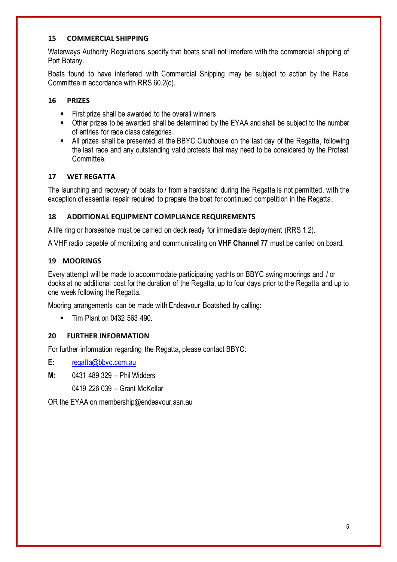#### **15 COMMERCIAL SHIPPING**

Waterways Authority Regulations specify that boats shall not interfere with the commercial shipping of Port Botany.

Boats found to have interfered with Commercial Shipping may be subject to action by the Race Committee in accordance with RRS 60.2(c).

#### **16 PRIZES**

- First prize shall be awarded to the overall winners.
- Other prizes to be awarded shall be determined by the EYAA and shall be subject to the number of entries for race class categories.
- All prizes shall be presented at the BBYC Clubhouse on the last day of the Regatta, following the last race and any outstanding valid protests that may need to be considered by the Protest Committee.

#### **17 WET REGATTA**

The launching and recovery of boats to / from a hardstand during the Regatta is not permitted, with the exception of essential repair required to prepare the boat for continued competition in the Regatta.

#### **18 ADDITIONAL EQUIPMENT COMPLIANCE REQUIREMENTS**

A life ring or horseshoe must be carried on deck ready for immediate deployment (RRS 1.2).

A VHF radio capable of monitoring and communicating on **VHF Channel 77** must be carried on board.

#### **19 MOORINGS**

Every attempt will be made to accommodate participating yachts on BBYC swing moorings and / or docks at no additional cost for the duration of the Regatta, up to four days prior to the Regatta and up to one week following the Regatta.

Mooring arrangements can be made with Endeavour Boatshed by calling:

■ Tim Plant on 0432 563 490.

#### **20 FURTHER INFORMATION**

For further information regarding the Regatta, please contact BBYC:

**E:** regatta@bbyc.com.au

**M:** 0431 489 329 – Phil Widders

0419 226 039 – Grant McKellar

OR the EYAA on membership@endeavour.asn.au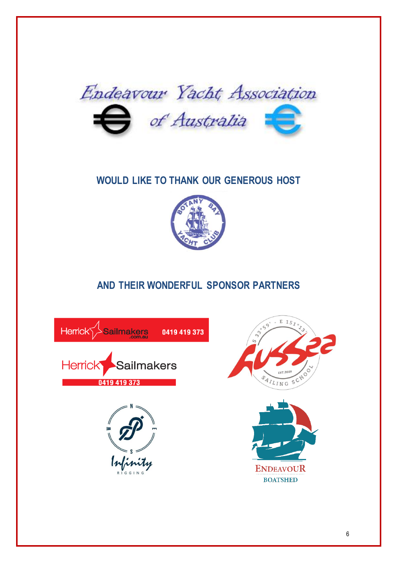

### **WOULD LIKE TO THANK OUR GENEROUS HOST**



## **AND THEIR WONDERFUL SPONSOR PARTNERS**

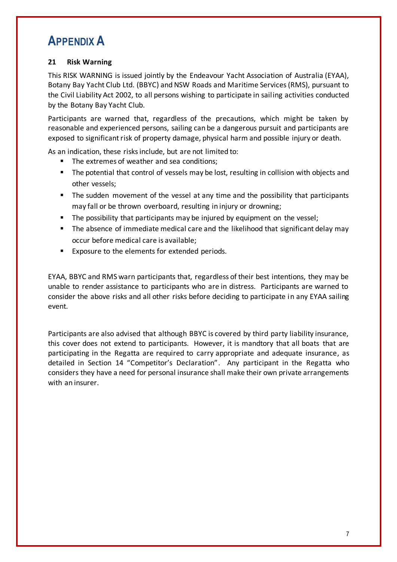## **APPENDIX A**

#### **21 Risk Warning**

This RISK WARNING is issued jointly by the Endeavour Yacht Association of Australia (EYAA), Botany Bay Yacht Club Ltd. (BBYC) and NSW Roads and Maritime Services (RMS), pursuant to the Civil Liability Act 2002, to all persons wishing to participate in sailing activities conducted by the Botany Bay Yacht Club.

Participants are warned that, regardless of the precautions, which might be taken by reasonable and experienced persons, sailing can be a dangerous pursuit and participants are exposed to significant risk of property damage, physical harm and possible injury or death.

As an indication, these risks include, but are not limited to:

- The extremes of weather and sea conditions;
- The potential that control of vessels may be lost, resulting in collision with objects and other vessels;
- The sudden movement of the vessel at any time and the possibility that participants may fall or be thrown overboard, resulting in injury or drowning;
- The possibility that participants may be injured by equipment on the vessel;
- The absence of immediate medical care and the likelihood that significant delay may occur before medical care is available;
- Exposure to the elements for extended periods.

EYAA, BBYC and RMS warn participants that, regardless of their best intentions, they may be unable to render assistance to participants who are in distress. Participants are warned to consider the above risks and all other risks before deciding to participate in any EYAA sailing event.

Participants are also advised that although BBYC is covered by third party liability insurance, this cover does not extend to participants. However, it is mandtory that all boats that are participating in the Regatta are required to carry appropriate and adequate insurance, as detailed in Section 14 "Competitor's Declaration". Any participant in the Regatta who considers they have a need for personal insurance shall make their own private arrangements with an insurer.